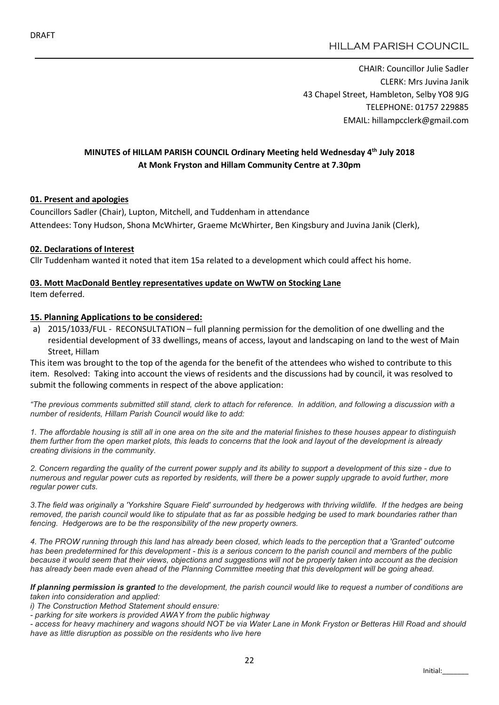CHAIR: Councillor Julie Sadler CLERK: Mrs Juvina Janik 43 Chapel Street, Hambleton, Selby YO8 9JG TELEPHONE: 01757 229885 EMAIL: hillampcclerk@gmail.com

# MINUTES of HILLAM PARISH COUNCIL Ordinary Meeting held Wednesday 4th July 2018 At Monk Fryston and Hillam Community Centre at 7.30pm

#### 01. Present and apologies

Councillors Sadler (Chair), Lupton, Mitchell, and Tuddenham in attendance Attendees: Tony Hudson, Shona McWhirter, Graeme McWhirter, Ben Kingsbury and Juvina Janik (Clerk),

#### 02. Declarations of Interest

Cllr Tuddenham wanted it noted that item 15a related to a development which could affect his home.

#### 03. Mott MacDonald Bentley representatives update on WwTW on Stocking Lane Item deferred.

#### 15. Planning Applications to be considered:

a) 2015/1033/FUL - RECONSULTATION – full planning permission for the demolition of one dwelling and the residential development of 33 dwellings, means of access, layout and landscaping on land to the west of Main Street, Hillam

This item was brought to the top of the agenda for the benefit of the attendees who wished to contribute to this item. Resolved: Taking into account the views of residents and the discussions had by council, it was resolved to submit the following comments in respect of the above application:

*"The previous comments submitted still stand, clerk to attach for reference. In addition, and following a discussion with a number of residents, Hillam Parish Council would like to add:*

*1. The affordable housing is still all in one area on the site and the material finishes to these houses appear to distinguish them further from the open market plots, this leads to concerns that the look and layout of the development is already creating divisions in the community.*

*2. Concern regarding the quality of the current power supply and its ability to support a development of this size - due to numerous and regular power cuts as reported by residents, will there be a power supply upgrade to avoid further, more regular power cuts.*

*3.The field was originally a 'Yorkshire Square Field' surrounded by hedgerows with thriving wildlife. If the hedges are being removed, the parish council would like to stipulate that as far as possible hedging be used to mark boundaries rather than fencing. Hedgerows are to be the responsibility of the new property owners.*

*4. The PROW running through this land has already been closed, which leads to the perception that a 'Granted' outcome has been predetermined for this development - this is a serious concern to the parish council and members of the public because it would seem that their views, objections and suggestions will not be properly taken into account as the decision has already been made even ahead of the Planning Committee meeting that this development will be going ahead.*

*If planning permission is granted to the development, the parish council would like to request a number of conditions are taken into consideration and applied:*

*i) The Construction Method Statement should ensure:*

*- parking for site workers is provided AWAY from the public highway*

*- access for heavy machinery and wagons should NOT be via Water Lane in Monk Fryston or Betteras Hill Road and should have as little disruption as possible on the residents who live here*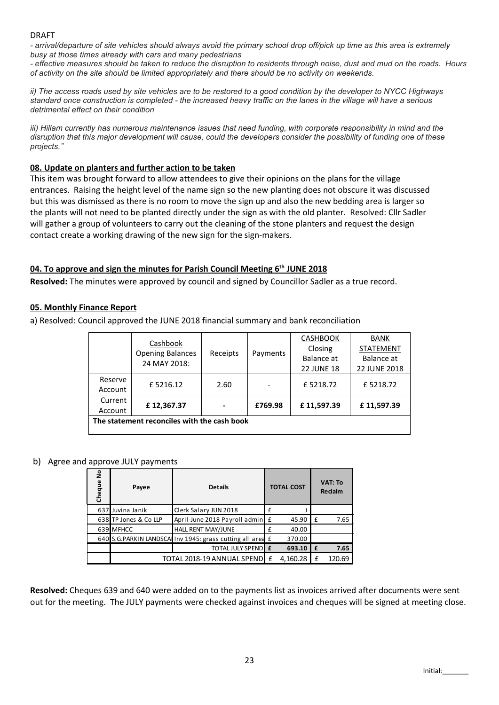#### DRAFT

*- arrival/departure of site vehicles should always avoid the primary school drop off/pick up time as this area is extremely busy at those times already with cars and many pedestrians*

*- effective measures should be taken to reduce the disruption to residents through noise, dust and mud on the roads. Hours of activity on the site should be limited appropriately and there should be no activity on weekends.*

*ii) The access roads used by site vehicles are to be restored to a good condition by the developer to NYCC Highways standard once construction is completed - the increased heavy traffic on the lanes in the village will have a serious detrimental effect on their condition*

*iii) Hillam currently has numerous maintenance issues that need funding, with corporate responsibility in mind and the disruption that this major development will cause, could the developers consider the possibility of funding one of these projects."*

### 08. Update on planters and further action to be taken

This item was brought forward to allow attendees to give their opinions on the plans for the village entrances. Raising the height level of the name sign so the new planting does not obscure it was discussed but this was dismissed as there is no room to move the sign up and also the new bedding area is larger so the plants will not need to be planted directly under the sign as with the old planter. Resolved: Cllr Sadler will gather a group of volunteers to carry out the cleaning of the stone planters and request the design contact create a working drawing of the new sign for the sign-makers.

#### 04. To approve and sign the minutes for Parish Council Meeting  $6<sup>th</sup>$  JUNE 2018

Resolved: The minutes were approved by council and signed by Councillor Sadler as a true record.

### 05. Monthly Finance Report

a) Resolved: Council approved the JUNE 2018 financial summary and bank reconciliation

|         | Cashbook<br><b>Opening Balances</b>         | Receipts |          | <b>CASHBOOK</b>   | <b>BANK</b>      |  |
|---------|---------------------------------------------|----------|----------|-------------------|------------------|--|
|         |                                             |          | Payments | Closing           | <b>STATEMENT</b> |  |
|         | 24 MAY 2018:                                |          |          | Balance at        | Balance at       |  |
|         |                                             |          |          | <b>22 JUNE 18</b> | 22 JUNE 2018     |  |
| Reserve | £5216.12                                    | 2.60     |          | £5218.72          | £5218.72         |  |
| Account |                                             |          |          |                   |                  |  |
| Current | £12,367.37                                  |          | £769.98  | £11,597.39        | £11,597.39       |  |
| Account |                                             |          |          |                   |                  |  |
|         | The statement reconciles with the cash book |          |          |                   |                  |  |
|         |                                             |          |          |                   |                  |  |

#### b) Agree and approve JULY payments

| Cheque           | Payee                 | <b>Details</b>                                                                                                 | <b>TOTAL COST</b> | VAT: To<br><b>Reclaim</b> |
|------------------|-----------------------|----------------------------------------------------------------------------------------------------------------|-------------------|---------------------------|
| 637 Juvina Janik |                       | Clerk Salary JUN 2018                                                                                          |                   |                           |
|                  | 638 TP Jones & Co LLP | April-June 2018 Payroll admin E                                                                                | 45.90             | 7.65                      |
| 639 MFHCC        |                       | <b>HALL RENT MAY/JUNE</b>                                                                                      | 40.00             |                           |
|                  |                       | 640 S.G.PARKIN LANDSCALIN 1945: grass cutting all area £                                                       | 370.00            |                           |
|                  |                       | <b>TOTAL JULY SPENDE E</b>                                                                                     | 693.10            | 7.65                      |
|                  |                       | TOTAL 2018-19 ANNUAL SPEND E                                                                                   | 4,160.28          | 120.69                    |
|                  |                       |                                                                                                                |                   |                           |
|                  |                       | Resolved: Cheques 639 and 640 were added on to the payments list as invoices arrived after documents were sent |                   |                           |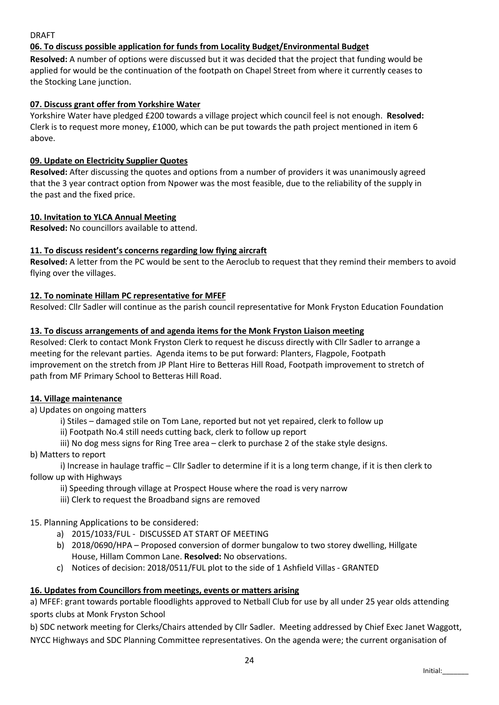# DRAFT

# 06. To discuss possible application for funds from Locality Budget/Environmental Budget

Resolved: A number of options were discussed but it was decided that the project that funding would be applied for would be the continuation of the footpath on Chapel Street from where it currently ceases to the Stocking Lane junction.

### 07. Discuss grant offer from Yorkshire Water

Yorkshire Water have pledged £200 towards a village project which council feel is not enough. Resolved: Clerk is to request more money, £1000, which can be put towards the path project mentioned in item 6 above.

### 09. Update on Electricity Supplier Quotes

Resolved: After discussing the quotes and options from a number of providers it was unanimously agreed that the 3 year contract option from Npower was the most feasible, due to the reliability of the supply in the past and the fixed price.

### 10. Invitation to YLCA Annual Meeting

Resolved: No councillors available to attend.

### 11. To discuss resident's concerns regarding low flying aircraft

Resolved: A letter from the PC would be sent to the Aeroclub to request that they remind their members to avoid flying over the villages.

#### 12. To nominate Hillam PC representative for MFEF

Resolved: Cllr Sadler will continue as the parish council representative for Monk Fryston Education Foundation

#### 13. To discuss arrangements of and agenda items for the Monk Fryston Liaison meeting

Resolved: Clerk to contact Monk Fryston Clerk to request he discuss directly with Cllr Sadler to arrange a meeting for the relevant parties. Agenda items to be put forward: Planters, Flagpole, Footpath improvement on the stretch from JP Plant Hire to Betteras Hill Road, Footpath improvement to stretch of path from MF Primary School to Betteras Hill Road.

### 14. Village maintenance

a) Updates on ongoing matters

i) Stiles – damaged stile on Tom Lane, reported but not yet repaired, clerk to follow up

ii) Footpath No.4 still needs cutting back, clerk to follow up report

iii) No dog mess signs for Ring Tree area – clerk to purchase 2 of the stake style designs.

#### b) Matters to report

i) Increase in haulage traffic – Cllr Sadler to determine if it is a long term change, if it is then clerk to follow up with Highways

- ii) Speeding through village at Prospect House where the road is very narrow
- iii) Clerk to request the Broadband signs are removed

15. Planning Applications to be considered:

- a) 2015/1033/FUL DISCUSSED AT START OF MEETING
- b) 2018/0690/HPA Proposed conversion of dormer bungalow to two storey dwelling, Hillgate House, Hillam Common Lane. Resolved: No observations.
- c) Notices of decision: 2018/0511/FUL plot to the side of 1 Ashfield Villas GRANTED

### 16. Updates from Councillors from meetings, events or matters arising

a) MFEF: grant towards portable floodlights approved to Netball Club for use by all under 25 year olds attending sports clubs at Monk Fryston School

b) SDC network meeting for Clerks/Chairs attended by Cllr Sadler. Meeting addressed by Chief Exec Janet Waggott, NYCC Highways and SDC Planning Committee representatives. On the agenda were; the current organisation of